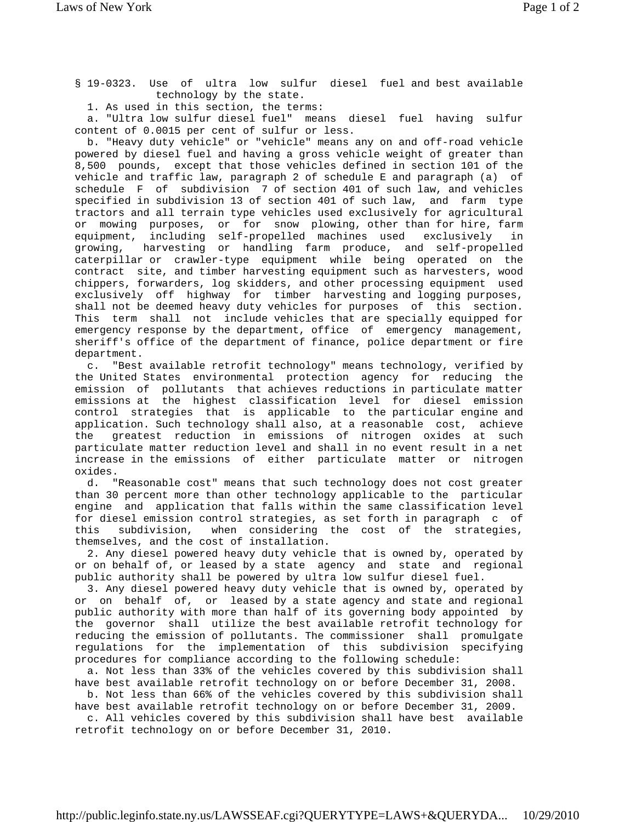§ 19-0323. Use of ultra low sulfur diesel fuel and best available technology by the state.

1. As used in this section, the terms:

 a. "Ultra low sulfur diesel fuel" means diesel fuel having sulfur content of 0.0015 per cent of sulfur or less.

 b. "Heavy duty vehicle" or "vehicle" means any on and off-road vehicle powered by diesel fuel and having a gross vehicle weight of greater than 8,500 pounds, except that those vehicles defined in section 101 of the vehicle and traffic law, paragraph 2 of schedule E and paragraph (a) of schedule F of subdivision 7 of section 401 of such law, and vehicles specified in subdivision 13 of section 401 of such law, and farm type tractors and all terrain type vehicles used exclusively for agricultural or mowing purposes, or for snow plowing, other than for hire, farm equipment, including self-propelled machines used exclusively in growing, harvesting or handling farm produce, and self-propelled caterpillar or crawler-type equipment while being operated on the contract site, and timber harvesting equipment such as harvesters, wood chippers, forwarders, log skidders, and other processing equipment used exclusively off highway for timber harvesting and logging purposes, shall not be deemed heavy duty vehicles for purposes of this section. This term shall not include vehicles that are specially equipped for emergency response by the department, office of emergency management, sheriff's office of the department of finance, police department or fire department.

 c. "Best available retrofit technology" means technology, verified by the United States environmental protection agency for reducing the emission of pollutants that achieves reductions in particulate matter emissions at the highest classification level for diesel emission control strategies that is applicable to the particular engine and application. Such technology shall also, at a reasonable cost, achieve the greatest reduction in emissions of nitrogen oxides at such particulate matter reduction level and shall in no event result in a net increase in the emissions of either particulate matter or nitrogen oxides.

 d. "Reasonable cost" means that such technology does not cost greater than 30 percent more than other technology applicable to the particular engine and application that falls within the same classification level for diesel emission control strategies, as set forth in paragraph c of<br>this subdivision, when considering the cost of the strategies, this subdivision, when considering the cost of the strategies, themselves, and the cost of installation.

 2. Any diesel powered heavy duty vehicle that is owned by, operated by or on behalf of, or leased by a state agency and state and regional public authority shall be powered by ultra low sulfur diesel fuel.

 3. Any diesel powered heavy duty vehicle that is owned by, operated by or on behalf of, or leased by a state agency and state and regional public authority with more than half of its governing body appointed by the governor shall utilize the best available retrofit technology for reducing the emission of pollutants. The commissioner shall promulgate regulations for the implementation of this subdivision specifying procedures for compliance according to the following schedule:

 a. Not less than 33% of the vehicles covered by this subdivision shall have best available retrofit technology on or before December 31, 2008.

 b. Not less than 66% of the vehicles covered by this subdivision shall have best available retrofit technology on or before December 31, 2009.

 c. All vehicles covered by this subdivision shall have best available retrofit technology on or before December 31, 2010.